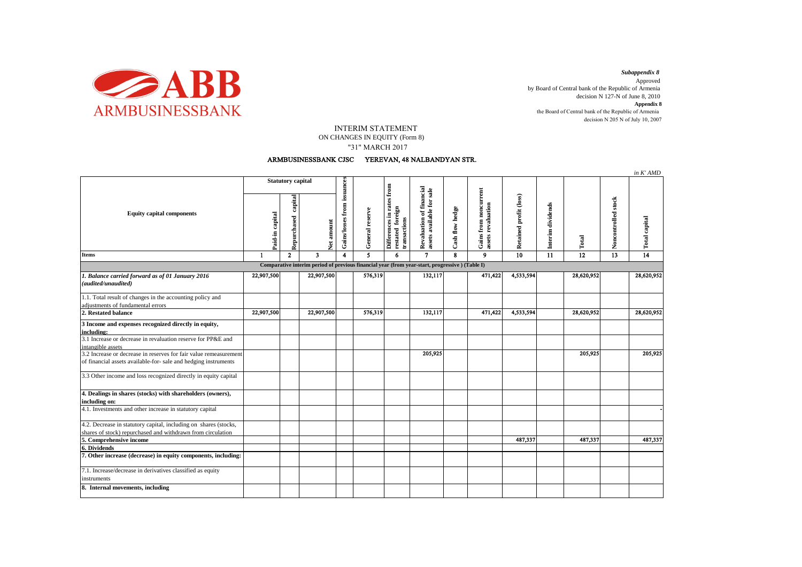

decision N 205 N of July 10, 2007 *Subappendix 8*  Approved by Board of Central bank of the Republic of Armenia decision N 127-N of June 8, 2010 **Appendix 8** the Board of Central bank of the Republic of Armenia

## INTERIM STATEMENT

 "31" MARCH 2017 ON CHANGES IN EQUITY (Form 8)

## ARMBUSINESSBANK CJSC YEREVAN, 48 NALBANDYAN STR.

|                                                                                                |                          |                        |                         |                             |                 |                                                               |                                                                    |                 |                                                               |                        |                   |                 |                     | in K' AMD            |
|------------------------------------------------------------------------------------------------|--------------------------|------------------------|-------------------------|-----------------------------|-----------------|---------------------------------------------------------------|--------------------------------------------------------------------|-----------------|---------------------------------------------------------------|------------------------|-------------------|-----------------|---------------------|----------------------|
| <b>Equity capital components</b>                                                               | <b>Statutory capital</b> |                        |                         |                             |                 |                                                               |                                                                    |                 |                                                               |                        |                   |                 |                     |                      |
|                                                                                                | Paid-in capital          | capital<br>Repurchased | Net amount              | Gains/losses from issuances | General reserve | Differences in rates from<br>restated foreign<br>transactions | financial<br>Revaluation of financial<br>assets available for sale | Cash flow hedge | noncurrent<br>revaluation<br>${\bf from}$<br>Gains!<br>assets | Retained profit (loss) | Interim dividends | Total           | Noncontrolled stock | <b>Total capital</b> |
| <b>Items</b>                                                                                   | -1                       | $\overline{2}$         | $\overline{\mathbf{3}}$ | $\overline{\mathbf{4}}$     | 5               | 6                                                             | $\mathbf{7}$                                                       | 8               | 9                                                             | 10                     | 11                | $\overline{12}$ | 13                  | $\overline{14}$      |
| Comparative interim period of previous financial year (from year-start, progressive) (Table I) |                          |                        |                         |                             |                 |                                                               |                                                                    |                 |                                                               |                        |                   |                 |                     |                      |
| 1. Balance carried forward as of 01 January 2016                                               | 22,907,500               |                        | 22,907,500              |                             | 576,319         |                                                               | 132,117                                                            |                 | 471,422                                                       | 4,533,594              |                   | 28,620,952      |                     | 28,620,952           |
| (audited/unaudited)                                                                            |                          |                        |                         |                             |                 |                                                               |                                                                    |                 |                                                               |                        |                   |                 |                     |                      |
| 1.1. Total result of changes in the accounting policy and                                      |                          |                        |                         |                             |                 |                                                               |                                                                    |                 |                                                               |                        |                   |                 |                     |                      |
| adjustments of fundamental errors                                                              |                          |                        |                         |                             |                 |                                                               |                                                                    |                 |                                                               |                        |                   |                 |                     |                      |
| 2. Restated balance                                                                            | 22,907,500               |                        | 22,907,500              |                             | 576,319         |                                                               | 132,117                                                            |                 | 471,422                                                       | 4,533,594              |                   | 28,620,952      |                     | 28,620,952           |
| 3 Income and expenses recognized directly in equity,<br>including:                             |                          |                        |                         |                             |                 |                                                               |                                                                    |                 |                                                               |                        |                   |                 |                     |                      |
| 3.1 Increase or decrease in revaluation reserve for PP&E and<br>intangible assets              |                          |                        |                         |                             |                 |                                                               |                                                                    |                 |                                                               |                        |                   |                 |                     |                      |
| 3.2 Increase or decrease in reserves for fair value remeasurement                              |                          |                        |                         |                             |                 |                                                               | 205,925                                                            |                 |                                                               |                        |                   | 205,925         |                     | 205,925              |
| of financial assets available-for- sale and hedging instruments                                |                          |                        |                         |                             |                 |                                                               |                                                                    |                 |                                                               |                        |                   |                 |                     |                      |
| 3.3 Other income and loss recognized directly in equity capital                                |                          |                        |                         |                             |                 |                                                               |                                                                    |                 |                                                               |                        |                   |                 |                     |                      |
| 4. Dealings in shares (stocks) with shareholders (owners),<br>including on:                    |                          |                        |                         |                             |                 |                                                               |                                                                    |                 |                                                               |                        |                   |                 |                     |                      |
| 4.1. Investments and other increase in statutory capital                                       |                          |                        |                         |                             |                 |                                                               |                                                                    |                 |                                                               |                        |                   |                 |                     |                      |
| 4.2. Decrease in statutory capital, including on shares (stocks,                               |                          |                        |                         |                             |                 |                                                               |                                                                    |                 |                                                               |                        |                   |                 |                     |                      |
| shares of stock) repurchased and withdrawn from circulation                                    |                          |                        |                         |                             |                 |                                                               |                                                                    |                 |                                                               |                        |                   |                 |                     |                      |
| 5. Comprehensive income                                                                        |                          |                        |                         |                             |                 |                                                               |                                                                    |                 |                                                               | 487,337                |                   | 487,337         |                     | 487,337              |
| 6. Dividends                                                                                   |                          |                        |                         |                             |                 |                                                               |                                                                    |                 |                                                               |                        |                   |                 |                     |                      |
| 7. Other increase (decrease) in equity components, including:                                  |                          |                        |                         |                             |                 |                                                               |                                                                    |                 |                                                               |                        |                   |                 |                     |                      |
| 7.1. Increase/decrease in derivatives classified as equity<br>instruments                      |                          |                        |                         |                             |                 |                                                               |                                                                    |                 |                                                               |                        |                   |                 |                     |                      |
| 8. Internal movements, including                                                               |                          |                        |                         |                             |                 |                                                               |                                                                    |                 |                                                               |                        |                   |                 |                     |                      |